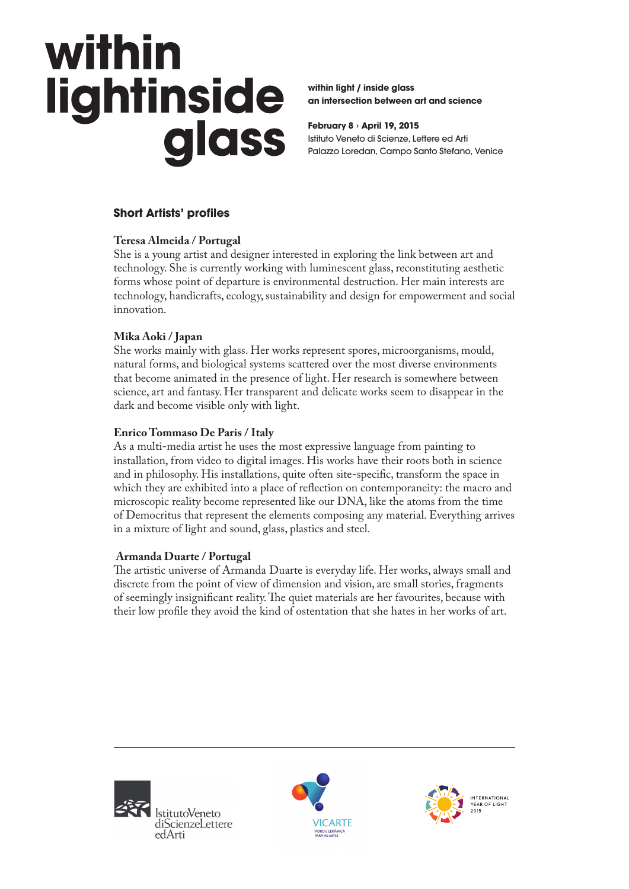# within lightinside<br>glass

**within light / inside glass an intersection between art and science**

**February 8 › April 19, 2015** Istituto Veneto di Scienze, Lettere ed Arti Palazzo Loredan, Campo Santo Stefano, Venice

# **Short Artists' profiles**

# **Teresa Almeida / Portugal**

She is a young artist and designer interested in exploring the link between art and technology. She is currently working with luminescent glass, reconstituting aesthetic forms whose point of departure is environmental destruction. Her main interests are technology, handicrafts, ecology, sustainability and design for empowerment and social innovation.

# **Mika Aoki / Japan**

She works mainly with glass. Her works represent spores, microorganisms, mould, natural forms, and biological systems scattered over the most diverse environments that become animated in the presence of light. Her research is somewhere between science, art and fantasy. Her transparent and delicate works seem to disappear in the dark and become visible only with light.

#### **Enrico Tommaso De Paris / Italy**

As a multi-media artist he uses the most expressive language from painting to installation, from video to digital images. His works have their roots both in science and in philosophy. His installations, quite often site-specific, transform the space in which they are exhibited into a place of reflection on contemporaneity: the macro and microscopic reality become represented like our DNA, like the atoms from the time of Democritus that represent the elements composing any material. Everything arrives in a mixture of light and sound, glass, plastics and steel.

# **Armanda Duarte / Portugal**

The artistic universe of Armanda Duarte is everyday life. Her works, always small and discrete from the point of view of dimension and vision, are small stories, fragments of seemingly insignificant reality. The quiet materials are her favourites, because with their low profile they avoid the kind of ostentation that she hates in her works of art.





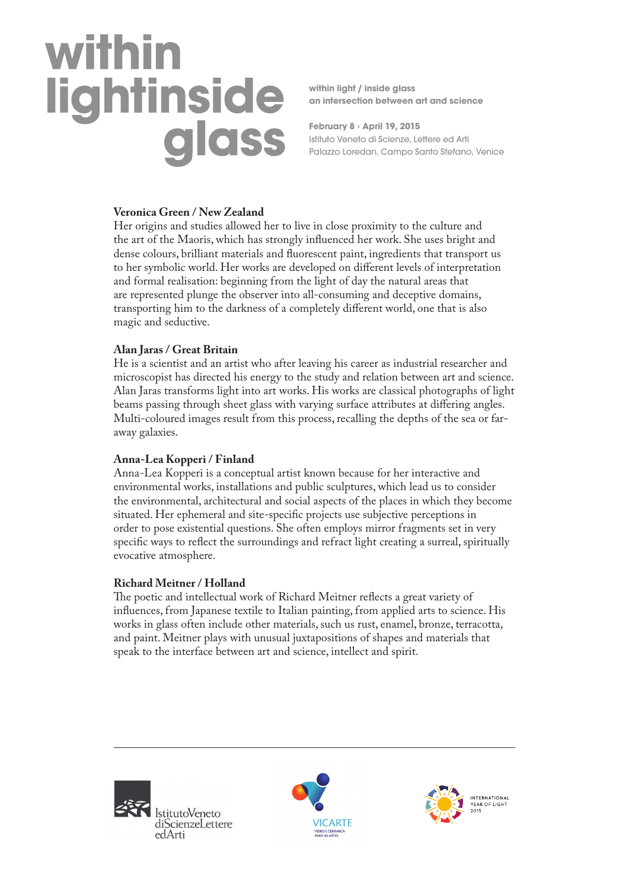# within

**within light / inside glass an intersection between art and science**

**February 8 › April 19, 2015** Istituto Veneto di Scienze, Lettere ed Arti Palazzo Loredan, Campo Santo Stefano, Venice

#### **Veronica Green / New Zealand**

Her origins and studies allowed her to live in close proximity to the culture and the art of the Maoris, which has strongly influenced her work. She uses bright and dense colours, brilliant materials and fluorescent paint, ingredients that transport us to her symbolic world. Her works are developed on different levels of interpretation and formal realisation: beginning from the light of day the natural areas that are represented plunge the observer into all-consuming and deceptive domains, transporting him to the darkness of a completely different world, one that is also magic and seductive.

#### **Alan Jaras / Great Britain**

He is a scientist and an artist who after leaving his career as industrial researcher and microscopist has directed his energy to the study and relation between art and science. Alan Jaras transforms light into art works. His works are classical photographs of light beams passing through sheet glass with varying surface attributes at differing angles. Multi-coloured images result from this process, recalling the depths of the sea or faraway galaxies.

# **Anna-Lea Kopperi / Finland**

Anna-Lea Kopperi is a conceptual artist known because for her interactive and environmental works, installations and public sculptures, which lead us to consider the environmental, architectural and social aspects of the places in which they become situated. Her ephemeral and site-specific projects use subjective perceptions in order to pose existential questions. She often employs mirror fragments set in very specific ways to reflect the surroundings and refract light creating a surreal, spiritually evocative atmosphere.

#### **Richard Meitner / Holland**

The poetic and intellectual work of Richard Meitner reflects a great variety of influences, from Japanese textile to Italian painting, from applied arts to science. His works in glass often include other materials, such us rust, enamel, bronze, terracotta, and paint. Meitner plays with unusual juxtapositions of shapes and materials that speak to the interface between art and science, intellect and spirit.





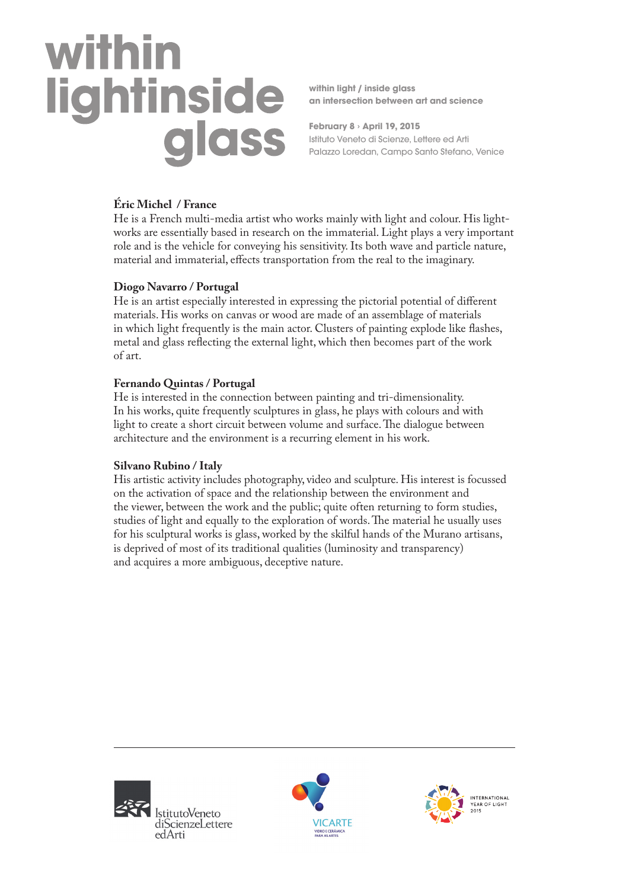# within lightinside<br>glass

**within light / inside glass an intersection between art and science**

**February 8 › April 19, 2015** Istituto Veneto di Scienze, Lettere ed Arti Palazzo Loredan, Campo Santo Stefano, Venice

# **Éric Michel / France**

He is a French multi-media artist who works mainly with light and colour. His lightworks are essentially based in research on the immaterial. Light plays a very important role and is the vehicle for conveying his sensitivity. Its both wave and particle nature, material and immaterial, effects transportation from the real to the imaginary.

# **Diogo Navarro / Portugal**

He is an artist especially interested in expressing the pictorial potential of different materials. His works on canvas or wood are made of an assemblage of materials in which light frequently is the main actor. Clusters of painting explode like flashes, metal and glass reflecting the external light, which then becomes part of the work of art.

# **Fernando Quintas / Portugal**

He is interested in the connection between painting and tri-dimensionality. In his works, quite frequently sculptures in glass, he plays with colours and with light to create a short circuit between volume and surface. The dialogue between architecture and the environment is a recurring element in his work.

# **Silvano Rubino / Italy**

His artistic activity includes photography, video and sculpture. His interest is focussed on the activation of space and the relationship between the environment and the viewer, between the work and the public; quite often returning to form studies, studies of light and equally to the exploration of words. The material he usually uses for his sculptural works is glass, worked by the skilful hands of the Murano artisans, is deprived of most of its traditional qualities (luminosity and transparency) and acquires a more ambiguous, deceptive nature.